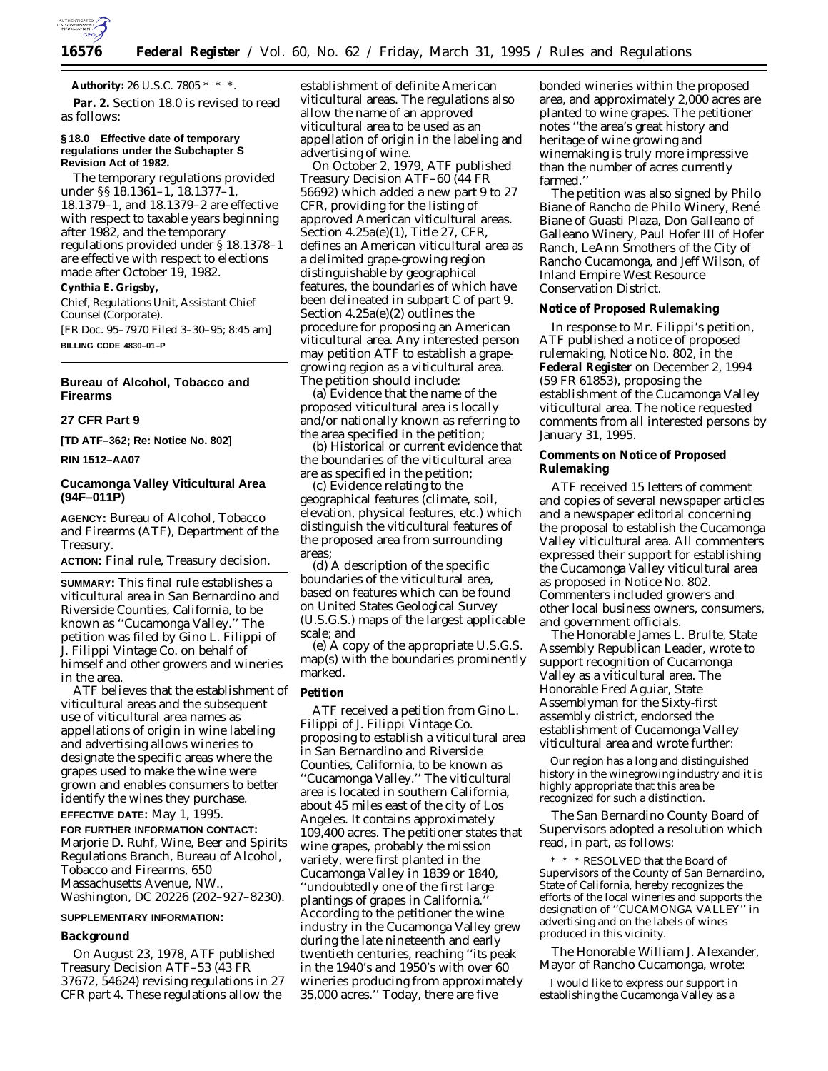

**Authority:** 26 U.S.C. 7805 \* \* \*.

Par. 2. Section 18.0 is revised to read as follows:

### **§ 18.0 Effective date of temporary regulations under the Subchapter S Revision Act of 1982.**

The temporary regulations provided under §§ 18.1361–1, 18.1377–1, 18.1379–1, and 18.1379–2 are effective with respect to taxable years beginning after 1982, and the temporary regulations provided under § 18.1378–1 are effective with respect to elections made after October 19, 1982.

# **Cynthia E. Grigsby,**

*Chief, Regulations Unit, Assistant Chief Counsel (Corporate).*

[FR Doc. 95–7970 Filed 3–30–95; 8:45 am] **BILLING CODE 4830–01–P**

## **Bureau of Alcohol, Tobacco and Firearms**

# **27 CFR Part 9**

**[TD ATF–362; Re: Notice No. 802]**

**RIN 1512–AA07**

# **Cucamonga Valley Viticultural Area (94F–011P)**

**AGENCY:** Bureau of Alcohol, Tobacco and Firearms (ATF), Department of the Treasury.

**ACTION:** Final rule, Treasury decision.

**SUMMARY:** This final rule establishes a viticultural area in San Bernardino and Riverside Counties, California, to be known as ''Cucamonga Valley.'' The petition was filed by Gino L. Filippi of J. Filippi Vintage Co. on behalf of himself and other growers and wineries in the area.

ATF believes that the establishment of viticultural areas and the subsequent use of viticultural area names as appellations of origin in wine labeling and advertising allows wineries to designate the specific areas where the grapes used to make the wine were grown and enables consumers to better identify the wines they purchase. **EFFECTIVE DATE:** May 1, 1995.

**FOR FURTHER INFORMATION CONTACT:** Marjorie D. Ruhf, Wine, Beer and Spirits Regulations Branch, Bureau of Alcohol, Tobacco and Firearms, 650 Massachusetts Avenue, NW., Washington, DC 20226 (202–927–8230).

#### **SUPPLEMENTARY INFORMATION:**

#### **Background**

On August 23, 1978, ATF published Treasury Decision ATF–53 (43 FR 37672, 54624) revising regulations in 27 CFR part 4. These regulations allow the

establishment of definite American viticultural areas. The regulations also allow the name of an approved viticultural area to be used as an appellation of origin in the labeling and advertising of wine.

On October 2, 1979, ATF published Treasury Decision ATF–60 (44 FR 56692) which added a new part 9 to 27 CFR, providing for the listing of approved American viticultural areas. Section 4.25a(e)(1), Title 27, CFR, defines an American viticultural area as a delimited grape-growing region distinguishable by geographical features, the boundaries of which have been delineated in subpart C of part 9. Section 4.25a(e)(2) outlines the procedure for proposing an American viticultural area. Any interested person may petition ATF to establish a grapegrowing region as a viticultural area. The petition should include:

(a) Evidence that the name of the proposed viticultural area is locally and/or nationally known as referring to the area specified in the petition;

(b) Historical or current evidence that the boundaries of the viticultural area are as specified in the petition;

(c) Evidence relating to the geographical features (climate, soil, elevation, physical features, etc.) which distinguish the viticultural features of the proposed area from surrounding areas;

(d) A description of the specific boundaries of the viticultural area, based on features which can be found on United States Geological Survey (U.S.G.S.) maps of the largest applicable scale; and

(e) A copy of the appropriate U.S.G.S. map(s) with the boundaries prominently marked.

## **Petition**

ATF received a petition from Gino L. Filippi of J. Filippi Vintage Co. proposing to establish a viticultural area in San Bernardino and Riverside Counties, California, to be known as ''Cucamonga Valley.'' The viticultural area is located in southern California, about 45 miles east of the city of Los Angeles. It contains approximately 109,400 acres. The petitioner states that wine grapes, probably the mission variety, were first planted in the Cucamonga Valley in 1839 or 1840, ''undoubtedly one of the first large plantings of grapes in California.'' According to the petitioner the wine industry in the Cucamonga Valley grew during the late nineteenth and early twentieth centuries, reaching ''its peak in the 1940's and 1950's with over 60 wineries producing from approximately 35,000 acres.'' Today, there are five

bonded wineries within the proposed area, and approximately 2,000 acres are planted to wine grapes. The petitioner notes ''the area's great history and heritage of wine growing and winemaking is truly more impressive than the number of acres currently farmed.''

The petition was also signed by Philo Biane of Rancho de Philo Winery, René Biane of Guasti Plaza, Don Galleano of Galleano Winery, Paul Hofer III of Hofer Ranch, LeAnn Smothers of the City of Rancho Cucamonga, and Jeff Wilson, of Inland Empire West Resource Conservation District.

## **Notice of Proposed Rulemaking**

In response to Mr. Filippi's petition, ATF published a notice of proposed rulemaking, Notice No. 802, in the **Federal Register** on December 2, 1994 (59 FR 61853), proposing the establishment of the Cucamonga Valley viticultural area. The notice requested comments from all interested persons by January 31, 1995.

## **Comments on Notice of Proposed Rulemaking**

ATF received 15 letters of comment and copies of several newspaper articles and a newspaper editorial concerning the proposal to establish the Cucamonga Valley viticultural area. All commenters expressed their support for establishing the Cucamonga Valley viticultural area as proposed in Notice No. 802. Commenters included growers and other local business owners, consumers, and government officials.

The Honorable James L. Brulte, State Assembly Republican Leader, wrote to support recognition of Cucamonga Valley as a viticultural area. The Honorable Fred Aguiar, State Assemblyman for the Sixty-first assembly district, endorsed the establishment of Cucamonga Valley viticultural area and wrote further:

Our region has a long and distinguished history in the winegrowing industry and it is highly appropriate that this area be recognized for such a distinction.

The San Bernardino County Board of Supervisors adopted a resolution which read, in part, as follows:

\* \* \* RESOLVED that the Board of Supervisors of the County of San Bernardino, State of California, hereby recognizes the efforts of the local wineries and supports the designation of ''CUCAMONGA VALLEY'' in advertising and on the labels of wines produced in this vicinity.

The Honorable William J. Alexander, Mayor of Rancho Cucamonga, wrote:

I would like to express our support in establishing the Cucamonga Valley as a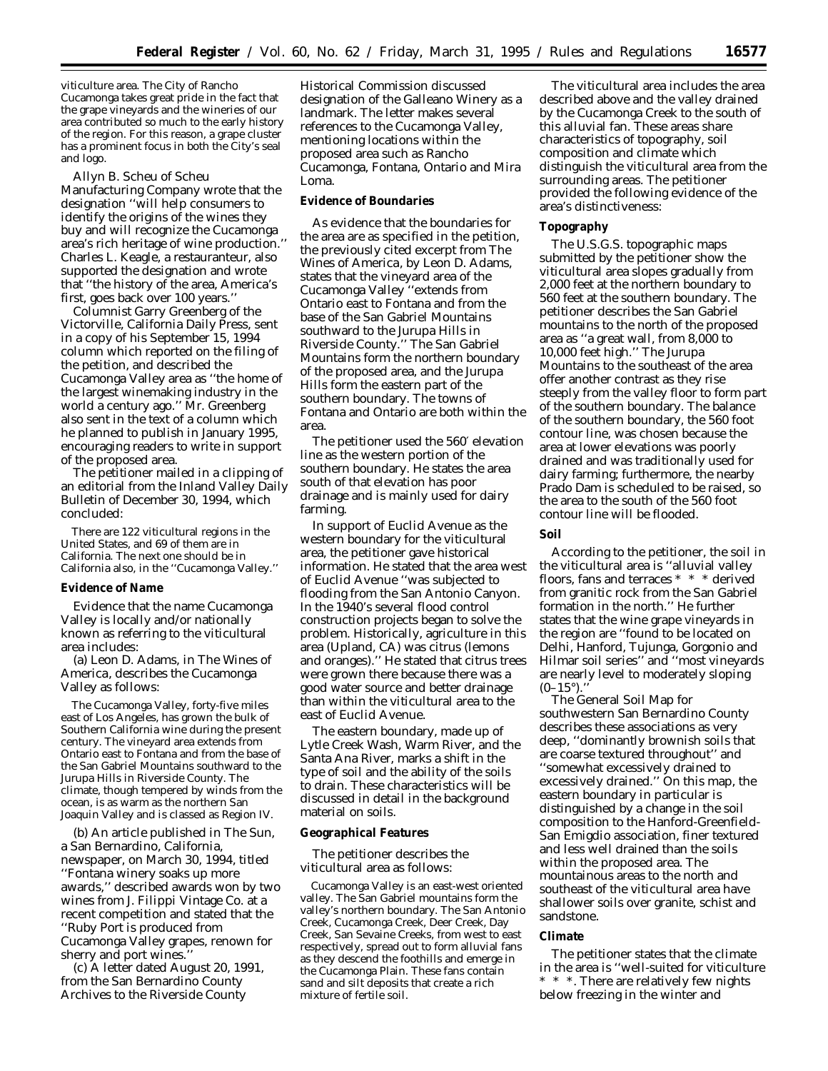viticulture area. The City of Rancho Cucamonga takes great pride in the fact that the grape vineyards and the wineries of our area contributed so much to the early history of the region. For this reason, a grape cluster has a prominent focus in both the City's seal and logo.

Allyn B. Scheu of Scheu Manufacturing Company wrote that the designation ''will help consumers to identify the origins of the wines they buy and will recognize the Cucamonga area's rich heritage of wine production.'' Charles L. Keagle, a restauranteur, also supported the designation and wrote that ''the history of the area, America's first, goes back over 100 years.''

Columnist Garry Greenberg of the Victorville, California *Daily Press*, sent in a copy of his September 15, 1994 column which reported on the filing of the petition, and described the Cucamonga Valley area as ''the home of the largest winemaking industry in the world a century ago.'' Mr. Greenberg also sent in the text of a column which he planned to publish in January 1995, encouraging readers to write in support of the proposed area.

The petitioner mailed in a clipping of an editorial from the Inland Valley *Daily Bulletin* of December 30, 1994, which concluded:

There are 122 viticultural regions in the United States, and 69 of them are in California. The next one should be in California also, in the ''Cucamonga Valley.''

### **Evidence of Name**

Evidence that the name Cucamonga Valley is locally and/or nationally known as referring to the viticultural area includes:

(a) Leon D. Adams, in *The Wines of America*, describes the Cucamonga Valley as follows:

The Cucamonga Valley, forty-five miles east of Los Angeles, has grown the bulk of Southern California wine during the present century. The vineyard area extends from Ontario east to Fontana and from the base of the San Gabriel Mountains southward to the Jurupa Hills in Riverside County. The climate, though tempered by winds from the ocean, is as warm as the northern San Joaquin Valley and is classed as Region IV.

(b) An article published in *The Sun*, a San Bernardino, California, newspaper, on March 30, 1994, titled ''Fontana winery soaks up more awards,'' described awards won by two wines from J. Filippi Vintage Co. at a recent competition and stated that the ''Ruby Port is produced from Cucamonga Valley grapes, renown for sherry and port wines.''

(c) A letter dated August 20, 1991, from the San Bernardino County Archives to the Riverside County

Historical Commission discussed designation of the Galleano Winery as a landmark. The letter makes several references to the Cucamonga Valley, mentioning locations within the proposed area such as Rancho Cucamonga, Fontana, Ontario and Mira Loma.

## **Evidence of Boundaries**

As evidence that the boundaries for the area are as specified in the petition, the previously cited excerpt from *The Wines of America*, by Leon D. Adams, states that the vineyard area of the Cucamonga Valley ''extends from Ontario east to Fontana and from the base of the San Gabriel Mountains southward to the Jurupa Hills in Riverside County.'' The San Gabriel Mountains form the northern boundary of the proposed area, and the Jurupa Hills form the eastern part of the southern boundary. The towns of Fontana and Ontario are both within the area.

The petitioner used the 560′ elevation line as the western portion of the southern boundary. He states the area south of that elevation has poor drainage and is mainly used for dairy farming.

In support of Euclid Avenue as the western boundary for the viticultural area, the petitioner gave historical information. He stated that the area west of Euclid Avenue ''was subjected to flooding from the San Antonio Canyon. In the 1940's several flood control construction projects began to solve the problem. Historically, agriculture in this area (Upland, CA) was citrus (lemons and oranges).'' He stated that citrus trees were grown there because there was a good water source and better drainage than within the viticultural area to the east of Euclid Avenue.

The eastern boundary, made up of Lytle Creek Wash, Warm River, and the Santa Ana River, marks a shift in the type of soil and the ability of the soils to drain. These characteristics will be discussed in detail in the background material on soils.

#### **Geographical Features**

The petitioner describes the viticultural area as follows:

Cucamonga Valley is an east-west oriented valley. The San Gabriel mountains form the valley's northern boundary. The San Antonio Creek, Cucamonga Creek, Deer Creek, Day Creek, San Sevaine Creeks, from west to east respectively, spread out to form alluvial fans as they descend the foothills and emerge in the Cucamonga Plain. These fans contain sand and silt deposits that create a rich mixture of fertile soil.

The viticultural area includes the area described above and the valley drained by the Cucamonga Creek to the south of this alluvial fan. These areas share characteristics of topography, soil composition and climate which distinguish the viticultural area from the surrounding areas. The petitioner provided the following evidence of the area's distinctiveness:

#### **Topography**

The U.S.G.S. topographic maps submitted by the petitioner show the viticultural area slopes gradually from 2,000 feet at the northern boundary to 560 feet at the southern boundary. The petitioner describes the San Gabriel mountains to the north of the proposed area as ''a great wall, from 8,000 to 10,000 feet high.'' The Jurupa Mountains to the southeast of the area offer another contrast as they rise steeply from the valley floor to form part of the southern boundary. The balance of the southern boundary, the 560 foot contour line, was chosen because the area at lower elevations was poorly drained and was traditionally used for dairy farming; furthermore, the nearby Prado Dam is scheduled to be raised, so the area to the south of the 560 foot contour line will be flooded.

# **Soil**

According to the petitioner, the soil in the viticultural area is ''alluvial valley floors, fans and terraces \* \* \* derived from granitic rock from the San Gabriel formation in the north.'' He further states that the wine grape vineyards in the region are ''found to be located on Delhi, Hanford, Tujunga, Gorgonio and Hilmar soil series'' and ''most vineyards are nearly level to moderately sloping  $(0-15^{\circ})$ .

The General Soil Map for southwestern San Bernardino County describes these associations as very deep, ''dominantly brownish soils that are coarse textured throughout'' and ''somewhat excessively drained to excessively drained.'' On this map, the eastern boundary in particular is distinguished by a change in the soil composition to the Hanford-Greenfield-San Emigdio association, finer textured and less well drained than the soils within the proposed area. The mountainous areas to the north and southeast of the viticultural area have shallower soils over granite, schist and sandstone.

#### **Climate**

The petitioner states that the climate in the area is ''well-suited for viticulture \* \* \*. There are relatively few nights below freezing in the winter and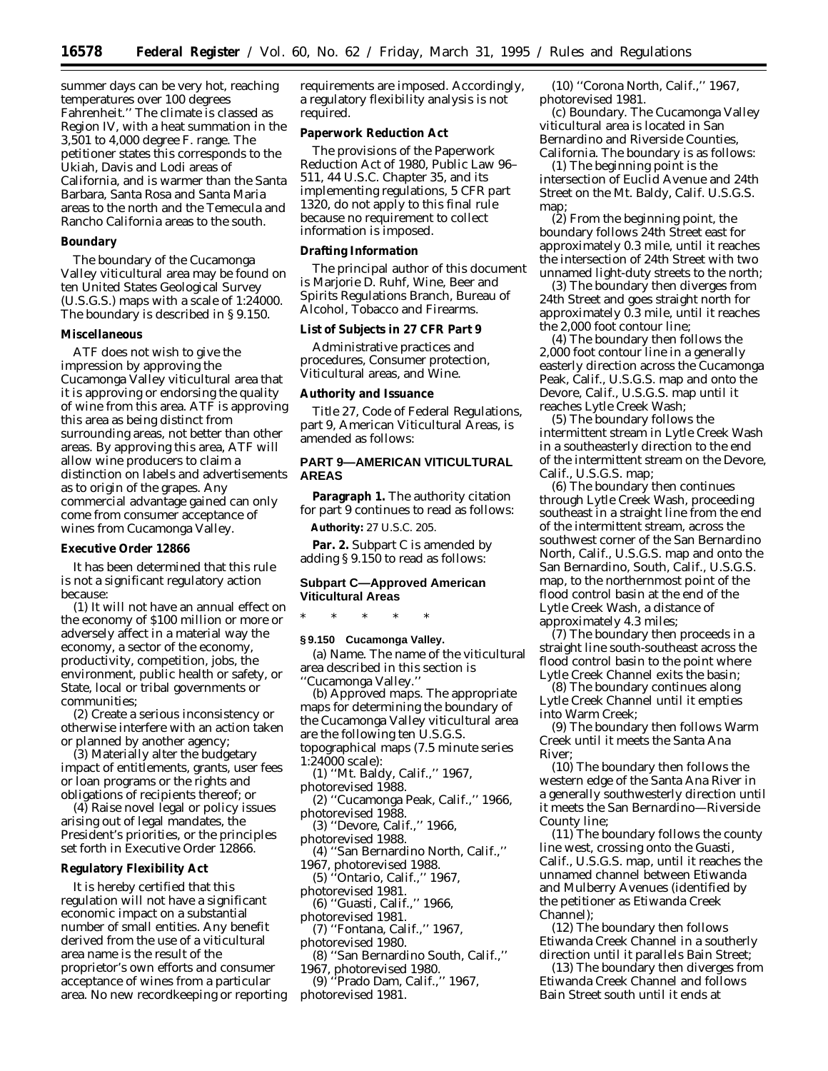summer days can be very hot, reaching temperatures over 100 degrees Fahrenheit.'' The climate is classed as Region IV, with a heat summation in the 3,501 to 4,000 degree F. range. The petitioner states this corresponds to the Ukiah, Davis and Lodi areas of California, and is warmer than the Santa Barbara, Santa Rosa and Santa Maria areas to the north and the Temecula and Rancho California areas to the south.

### **Boundary**

The boundary of the Cucamonga Valley viticultural area may be found on ten United States Geological Survey (U.S.G.S.) maps with a scale of 1:24000. The boundary is described in § 9.150.

#### **Miscellaneous**

ATF does not wish to give the impression by approving the Cucamonga Valley viticultural area that it is approving or endorsing the quality of wine from this area. ATF is approving this area as being distinct from surrounding areas, not better than other areas. By approving this area, ATF will allow wine producers to claim a distinction on labels and advertisements as to origin of the grapes. Any commercial advantage gained can only come from consumer acceptance of wines from Cucamonga Valley.

#### **Executive Order 12866**

It has been determined that this rule is not a significant regulatory action because:

(1) It will not have an annual effect on the economy of \$100 million or more or adversely affect in a material way the economy, a sector of the economy, productivity, competition, jobs, the environment, public health or safety, or State, local or tribal governments or communities;

(2) Create a serious inconsistency or otherwise interfere with an action taken or planned by another agency;

(3) Materially alter the budgetary impact of entitlements, grants, user fees or loan programs or the rights and obligations of recipients thereof; or

(4) Raise novel legal or policy issues arising out of legal mandates, the President's priorities, or the principles set forth in Executive Order 12866.

## **Regulatory Flexibility Act**

It is hereby certified that this regulation will not have a significant economic impact on a substantial number of small entities. Any benefit derived from the use of a viticultural area name is the result of the proprietor's own efforts and consumer acceptance of wines from a particular area. No new recordkeeping or reporting requirements are imposed. Accordingly, a regulatory flexibility analysis is not required.

# **Paperwork Reduction Act**

The provisions of the Paperwork Reduction Act of 1980, Public Law 96– 511, 44 U.S.C. Chapter 35, and its implementing regulations, 5 CFR part 1320, do not apply to this final rule because no requirement to collect information is imposed.

#### **Drafting Information**

The principal author of this document is Marjorie D. Ruhf, Wine, Beer and Spirits Regulations Branch, Bureau of Alcohol, Tobacco and Firearms.

# **List of Subjects in 27 CFR Part 9**

Administrative practices and procedures, Consumer protection, Viticultural areas, and Wine.

#### **Authority and Issuance**

Title 27, Code of Federal Regulations, part 9, American Viticultural Areas, is amended as follows:

# **PART 9—AMERICAN VITICULTURAL AREAS**

Paragraph 1. The authority citation for part 9 continues to read as follows:

**Authority:** 27 U.S.C. 205.

**Par. 2.** Subpart C is amended by adding § 9.150 to read as follows:

# **Subpart C—Approved American Viticultural Areas**

\* \* \* \* \*

# **§ 9.150 Cucamonga Valley.**

(a) *Name.* The name of the viticultural area described in this section is ''Cucamonga Valley.''

(b) *Approved maps.* The appropriate maps for determining the boundary of the Cucamonga Valley viticultural area are the following ten U.S.G.S. topographical maps (7.5 minute series

1:24000 scale): (1) ''Mt. Baldy, Calif.,'' 1967,

- photorevised 1988.
- (2) ''Cucamonga Peak, Calif.,'' 1966, photorevised 1988.
- (3) ''Devore, Calif.,'' 1966,

photorevised 1988.

- (4) ''San Bernardino North, Calif.,'' 1967, photorevised 1988.
	- (5) ''Ontario, Calif.,'' 1967,
- photorevised 1981.
- (6) ''Guasti, Calif.,'' 1966,
- photorevised 1981. (7) ''Fontana, Calif.,'' 1967,
- photorevised 1980.
- (8) ''San Bernardino South, Calif.,''
- 1967, photorevised 1980.
- (9) ''Prado Dam, Calif.,'' 1967, photorevised 1981.

(10) ''Corona North, Calif.,'' 1967, photorevised 1981.

(c) *Boundary.* The Cucamonga Valley viticultural area is located in San Bernardino and Riverside Counties, California. The boundary is as follows:

(1) The beginning point is the intersection of Euclid Avenue and 24th Street on the Mt. Baldy, Calif. U.S.G.S. map;

(2) From the beginning point, the boundary follows 24th Street east for approximately 0.3 mile, until it reaches the intersection of 24th Street with two unnamed light-duty streets to the north;

(3) The boundary then diverges from 24th Street and goes straight north for approximately 0.3 mile, until it reaches the 2,000 foot contour line;

(4) The boundary then follows the 2,000 foot contour line in a generally easterly direction across the Cucamonga Peak, Calif., U.S.G.S. map and onto the Devore, Calif., U.S.G.S. map until it reaches Lytle Creek Wash;

(5) The boundary follows the intermittent stream in Lytle Creek Wash in a southeasterly direction to the end of the intermittent stream on the Devore, Calif., U.S.G.S. map;

(6) The boundary then continues through Lytle Creek Wash, proceeding southeast in a straight line from the end of the intermittent stream, across the southwest corner of the San Bernardino North, Calif., U.S.G.S. map and onto the San Bernardino, South, Calif., U.S.G.S. map, to the northernmost point of the flood control basin at the end of the Lytle Creek Wash, a distance of approximately 4.3 miles;

(7) The boundary then proceeds in a straight line south-southeast across the flood control basin to the point where Lytle Creek Channel exits the basin;

(8) The boundary continues along Lytle Creek Channel until it empties into Warm Creek;

(9) The boundary then follows Warm Creek until it meets the Santa Ana River;

(10) The boundary then follows the western edge of the Santa Ana River in a generally southwesterly direction until it meets the San Bernardino—Riverside County line;

(11) The boundary follows the county line west, crossing onto the Guasti, Calif., U.S.G.S. map, until it reaches the unnamed channel between Etiwanda and Mulberry Avenues (identified by the petitioner as Etiwanda Creek Channel);

(12) The boundary then follows Etiwanda Creek Channel in a southerly direction until it parallels Bain Street;

(13) The boundary then diverges from Etiwanda Creek Channel and follows Bain Street south until it ends at